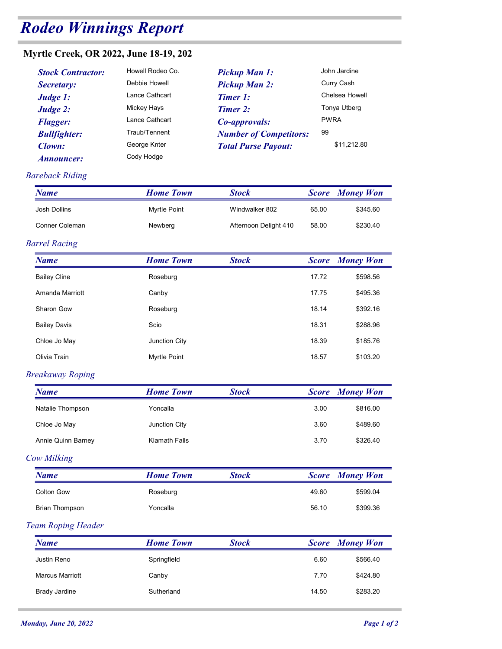## Rodeo Winnings Report

## Myrtle Creek, OR 2022, June 18-19, 202

| ndeo Winnings Report                 |                     |                               |                            |                  |
|--------------------------------------|---------------------|-------------------------------|----------------------------|------------------|
| rtle Creek, OR 2022, June 18-19, 202 |                     |                               |                            |                  |
| <b>Stock Contractor:</b>             | Howell Rodeo Co.    | <b>Pickup Man 1:</b>          | John Jardine<br>Curry Cash |                  |
| Secretary:                           | Debbie Howell       | <b>Pickup Man 2:</b>          |                            |                  |
| <b>Judge 1:</b>                      | Lance Cathcart      | <b>Timer 1:</b>               |                            | Chelsea Howell   |
| Judge 2:                             | Mickey Hays         | Timer 2:                      |                            | Tonya Utberg     |
| <b>Flagger:</b>                      | Lance Cathcart      | Co-approvals:                 | <b>PWRA</b>                |                  |
| <b>Bullfighter:</b>                  | Traub/Tennent       | <b>Number of Competitors:</b> | 99                         |                  |
| <b>Clown:</b>                        | George Knter        | <b>Total Purse Payout:</b>    |                            | \$11,212.80      |
| <i><b>Announcer:</b></i>             | Cody Hodge          |                               |                            |                  |
| reback Riding                        |                     |                               |                            |                  |
| <b>Name</b>                          | <b>Home Town</b>    | <b>Stock</b>                  | <b>Score</b>               | <b>Money Won</b> |
| Josh Dollins                         | <b>Myrtle Point</b> | Windwalker 802                | 65.00                      | \$345.60         |
| Conner Coleman                       | Newberg             | Afternoon Delight 410         | 58.00                      | \$230.40         |
| rrel Racing                          |                     |                               |                            |                  |
| <b>Name</b>                          | <b>Home Town</b>    | <b>Stock</b>                  | Score                      | <b>Money Won</b> |

## Bareback Riding

| <b>Rodeo Winnings Report</b>                                                                                                     |                                                                                                                                     |                                                                                                                                                                    |                   |                                                                             |
|----------------------------------------------------------------------------------------------------------------------------------|-------------------------------------------------------------------------------------------------------------------------------------|--------------------------------------------------------------------------------------------------------------------------------------------------------------------|-------------------|-----------------------------------------------------------------------------|
| Myrtle Creek, OR 2022, June 18-19, 202                                                                                           |                                                                                                                                     |                                                                                                                                                                    |                   |                                                                             |
| <b>Stock Contractor:</b><br>Secretary:<br>Judge 1:<br>Judge 2:<br><b>Flagger:</b><br><b>Bullfighter:</b><br>Clown:<br>Announcer: | Howell Rodeo Co.<br>Debbie Howell<br>Lance Cathcart<br>Mickey Hays<br>Lance Cathcart<br>Traub/Tennent<br>George Knter<br>Cody Hodge | <b>Pickup Man 1:</b><br><b>Pickup Man 2:</b><br><b>Timer 1:</b><br><b>Timer 2:</b><br>Co-approvals:<br><b>Number of Competitors:</b><br><b>Total Purse Payout:</b> | <b>PWRA</b><br>99 | John Jardine<br>Curry Cash<br>Chelsea Howell<br>Tonya Utberg<br>\$11,212.80 |
| <b>Bareback Riding</b>                                                                                                           |                                                                                                                                     |                                                                                                                                                                    |                   |                                                                             |
| <b>Name</b>                                                                                                                      | <b>Home Town</b>                                                                                                                    | <b>Stock</b>                                                                                                                                                       |                   | <b>Score</b> Money Won                                                      |
| Josh Dollins                                                                                                                     | Myrtle Point                                                                                                                        | Windwalker 802                                                                                                                                                     | 65.00             | \$345.60                                                                    |
| Conner Coleman                                                                                                                   | Newberg                                                                                                                             | Afternoon Delight 410                                                                                                                                              | 58.00             | \$230.40                                                                    |
| <b>Barrel Racing</b>                                                                                                             |                                                                                                                                     |                                                                                                                                                                    |                   |                                                                             |
| <b>Name</b>                                                                                                                      | <b>Home Town</b>                                                                                                                    | <b>Stock</b>                                                                                                                                                       | <b>Score</b>      | <b>Money Won</b>                                                            |
| <b>Bailey Cline</b>                                                                                                              | Roseburg                                                                                                                            |                                                                                                                                                                    | 17.72             | \$598.56                                                                    |
| Amanda Marriott                                                                                                                  | Canby                                                                                                                               |                                                                                                                                                                    | 17.75             | \$495.36                                                                    |
| Sharon Gow                                                                                                                       | Roseburg                                                                                                                            |                                                                                                                                                                    | 18.14             | \$392.16                                                                    |
| <b>Bailey Davis</b>                                                                                                              | Scio                                                                                                                                |                                                                                                                                                                    | 18.31             | \$288.96                                                                    |
| Chloe Jo May                                                                                                                     | Junction City                                                                                                                       |                                                                                                                                                                    | 18.39             | \$185.76                                                                    |
| Olivia Train                                                                                                                     | Myrtle Point                                                                                                                        |                                                                                                                                                                    | 18.57             | \$103.20                                                                    |
| <b>Breakaway Roping</b>                                                                                                          |                                                                                                                                     |                                                                                                                                                                    |                   |                                                                             |
| <b>Name</b>                                                                                                                      | <b>Home Town</b>                                                                                                                    | <b>Stock</b>                                                                                                                                                       |                   | <b>Score</b> Money Won                                                      |
| Natalie Thompson                                                                                                                 | Yoncalla                                                                                                                            |                                                                                                                                                                    | 3.00              | \$816.00                                                                    |
| Chloe Jo May                                                                                                                     | Junction City                                                                                                                       |                                                                                                                                                                    | 3.60              | \$489.60                                                                    |
| Annie Quinn Barney                                                                                                               | Klamath Falls                                                                                                                       |                                                                                                                                                                    | 3.70              | \$326.40                                                                    |
| <b>Cow Milking</b>                                                                                                               |                                                                                                                                     |                                                                                                                                                                    |                   |                                                                             |
| <b>Name</b>                                                                                                                      | <b>Home Town</b>                                                                                                                    | <b>Stock</b>                                                                                                                                                       | <b>Score</b>      | <b>Money Won</b>                                                            |
| Colton Gow                                                                                                                       | Roseburg                                                                                                                            |                                                                                                                                                                    | 49.60             | \$599.04                                                                    |
| <b>Brian Thompson</b>                                                                                                            | Yoncalla                                                                                                                            |                                                                                                                                                                    | 56.10             | \$399.36                                                                    |
| <b>Team Roping Header</b>                                                                                                        |                                                                                                                                     |                                                                                                                                                                    |                   |                                                                             |
| <b>Name</b>                                                                                                                      | <b>Home Town</b>                                                                                                                    | <b>Stock</b>                                                                                                                                                       | <b>Score</b>      | <b>Money Won</b>                                                            |
| Justin Reno                                                                                                                      | Springfield                                                                                                                         |                                                                                                                                                                    | 6.60              | \$566.40                                                                    |
| <b>Marcus Marriott</b>                                                                                                           | Canby                                                                                                                               |                                                                                                                                                                    | 7.70              | \$424.80                                                                    |
| <b>Brady Jardine</b>                                                                                                             | Sutherland                                                                                                                          |                                                                                                                                                                    | 14.50             | \$283.20                                                                    |
|                                                                                                                                  |                                                                                                                                     |                                                                                                                                                                    |                   |                                                                             |
| <b>Monday, June 20, 2022</b>                                                                                                     |                                                                                                                                     |                                                                                                                                                                    |                   | Page 1 of 2                                                                 |